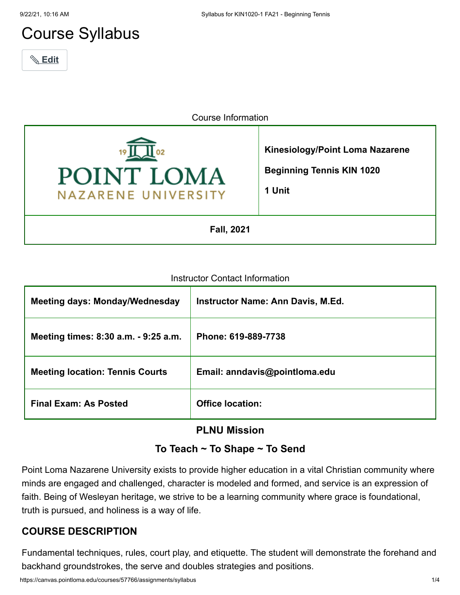# Course Syllabus



Course Information



#### Instructor Contact Information

| <b>Meeting days: Monday/Wednesday</b>  | <b>Instructor Name: Ann Davis, M.Ed.</b> |
|----------------------------------------|------------------------------------------|
| Meeting times: 8:30 a.m. - 9:25 a.m.   | Phone: 619-889-7738                      |
| <b>Meeting location: Tennis Courts</b> | Email: anndavis@pointloma.edu            |
| <b>Final Exam: As Posted</b>           | <b>Office location:</b>                  |

## **PLNU Mission**

#### **To Teach ~ To Shape ~ To Send**

Point Loma Nazarene University exists to provide higher education in a vital Christian community where minds are engaged and challenged, character is modeled and formed, and service is an expression of faith. Being of Wesleyan heritage, we strive to be a learning community where grace is foundational, truth is pursued, and holiness is a way of life.

#### **COURSE DESCRIPTION**

Fundamental techniques, rules, court play, and etiquette. The student will demonstrate the forehand and backhand groundstrokes, the serve and doubles strategies and positions.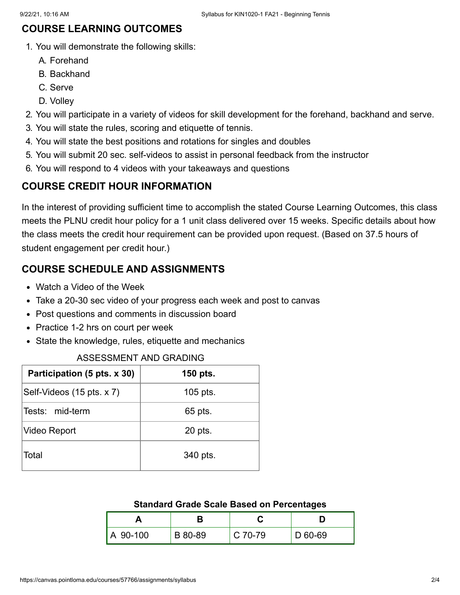## **COURSE LEARNING OUTCOMES**

- 1. You will demonstrate the following skills:
	- A. Forehand
	- B. Backhand
	- C. Serve
	- D. Volley
- 2. You will participate in a variety of videos for skill development for the forehand, backhand and serve.
- 3. You will state the rules, scoring and etiquette of tennis.
- 4. You will state the best positions and rotations for singles and doubles
- 5. You will submit 20 sec. self-videos to assist in personal feedback from the instructor
- 6. You will respond to 4 videos with your takeaways and questions

#### **COURSE CREDIT HOUR INFORMATION**

In the interest of providing sufficient time to accomplish the stated Course Learning Outcomes, this class meets the PLNU credit hour policy for a 1 unit class delivered over 15 weeks. Specific details about how the class meets the credit hour requirement can be provided upon request. (Based on 37.5 hours of student engagement per credit hour.)

## **COURSE SCHEDULE AND ASSIGNMENTS**

- Watch a Video of the Week
- Take a 20-30 sec video of your progress each week and post to canvas
- Post questions and comments in discussion board
- Practice 1-2 hrs on court per week
- State the knowledge, rules, etiquette and mechanics

#### ASSESSMENT AND GRADING

| Participation (5 pts. x 30) | 150 pts.  |  |
|-----------------------------|-----------|--|
| Self-Videos (15 pts. x 7)   | 105 pts.  |  |
| Tests: mid-term             | 65 pts.   |  |
| Video Report                | $20$ pts. |  |
| Total                       | 340 pts.  |  |

#### **Standard Grade Scale Based on Percentages**

| A 90-100 | B 80-89 | $C$ 70-79 | D 60-69 |
|----------|---------|-----------|---------|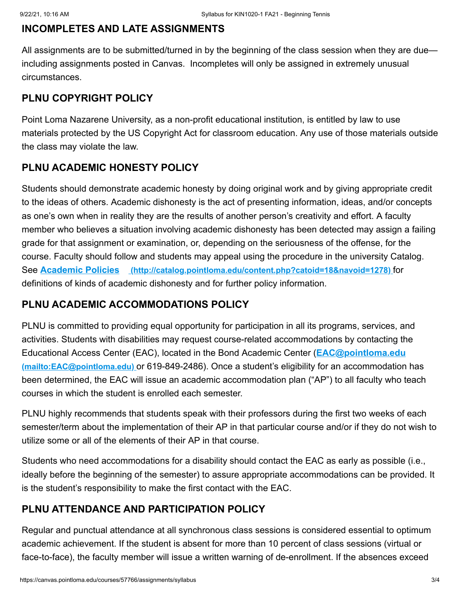#### **INCOMPLETES AND LATE ASSIGNMENTS**

All assignments are to be submitted/turned in by the beginning of the class session when they are due including assignments posted in Canvas. Incompletes will only be assigned in extremely unusual circumstances.

# **PLNU COPYRIGHT POLICY**

Point Loma Nazarene University, as a non-profit educational institution, is entitled by law to use materials protected by the US Copyright Act for classroom education. Any use of those materials outside the class may violate the law.

# **PLNU ACADEMIC HONESTY POLICY**

Students should demonstrate academic honesty by doing original work and by giving appropriate credit to the ideas of others. Academic dishonesty is the act of presenting information, ideas, and/or concepts as one's own when in reality they are the results of another person's creativity and effort. A faculty member who believes a situation involving academic dishonesty has been detected may assign a failing grade for that assignment or examination, or, depending on the seriousness of the offense, for the course. Faculty should follow and students may appeal using the procedure in the university Catalog. See **Academic Policies [\(http://catalog.pointloma.edu/content.php?catoid=18&navoid=1278\)](http://catalog.pointloma.edu/content.php?catoid=18&navoid=1278)** for definitions of kinds of academic dishonesty and for further policy information.

# **PLNU ACADEMIC ACCOMMODATIONS POLICY**

PLNU is committed to providing equal opportunity for participation in all its programs, services, and activities. Students with disabilities may request course-related accommodations by contacting the [Educational Access Center \(EAC\), located in the Bond Academic Center \(](mailto:EAC@pointloma.edu)**EAC@pointloma.edu (mailto:EAC@pointloma.edu)** or 619-849-2486). Once a student's eligibility for an accommodation has been determined, the EAC will issue an academic accommodation plan ("AP") to all faculty who teach courses in which the student is enrolled each semester.

PLNU highly recommends that students speak with their professors during the first two weeks of each semester/term about the implementation of their AP in that particular course and/or if they do not wish to utilize some or all of the elements of their AP in that course.

Students who need accommodations for a disability should contact the EAC as early as possible (i.e., ideally before the beginning of the semester) to assure appropriate accommodations can be provided. It is the student's responsibility to make the first contact with the EAC.

# **PLNU ATTENDANCE AND PARTICIPATION POLICY**

Regular and punctual attendance at all synchronous class sessions is considered essential to optimum academic achievement. If the student is absent for more than 10 percent of class sessions (virtual or face-to-face), the faculty member will issue a written warning of de-enrollment. If the absences exceed